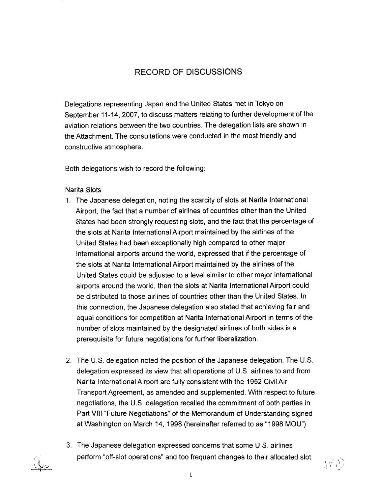### RECORD OF DISCUS

Delegations representing Japan and the United States met in Tokyo on September 11-14, 2007, to discuss matters relating to further development of the aviation relations between the two countries. The delegation lists are shown in the Attachment. The consultations were conducted in the most friendly and constructive atmosphere.

Both delegations wish to record the following:

#### Narita Slots

 

- 1' The Japanese delegation, noting the scarcity of slots at Narita International Airport, the fact that a number of airlines of countries other than the United States had been strongly requesting slots, and the fact that the percentage of the slots at Narita International Airport maintained by the airlines of the United States had been exceptionally high compared to other major international airports around the world, expressed that if the percentage of the slots at Narita International Airport maintained by the airlines of the United States could be adjusted to a level similar to other major international airports around the world, then the slots at Narita International Airport could be distributed to those airlines of countries other than the United States . In this connection, the Japanese delegation also stated that achieving fair and equal conditions for competition at Narita International Airport in terms of the number of slots maintained by the designated airlines of both sides is a prerequisite for future negotiations for further liberalization,
- 2. The U.S. delegation noted the position of the Japanese delegation. The U.S. delegation expressed its view that all operations of U.S. airlines to and from Narita International Airport are fully consistent with the 1952 Civil Air Transport Agreement, as amended and supplemented . With respect to future negotiations, the U.S . delegation recalled the commitment of both parties in Part VIII "Future Negotiations" of the Memorandum of Understanding signed at Washington on March 14, 1998 (hereinafter referred to as "1998 MOU").
- 3 . The Japanese delegation expressed concerns that some U .S . airlines perform "off-slot operations" and too frequent changes to their allocated slot

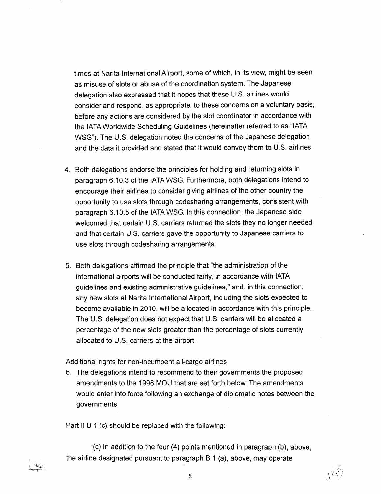times at Narita International Airport, some of which, in its view, might be seen as misuse of slots or abuse of the coordination system . The Japanese delegation also expressed that it hopes that these U.S. airlines would consider and respond, as appropriate, to these concerns on a voluntary basis, before any actions are considered by the slot coordinator in accordance with the IATA Worldwide Scheduling Guidelines (hereinafter referred to as "IATA WSG"). The U.S. delegation noted the concerns of the Japanese delegation and the data it provided and stated that it would convey them to U.S. airlines.

- 4. Both delegations endorse the principles for holding and returning slots in paragraph 6 .10.3 of the IATA WSG. Furthermore, both delegations intend to encourage their airlines to consider giving airlines of the other country the opportunity to use slots through codesharing arrangements, consistent with paragraph 6.10.5 of the IATA WSG. In this connection, the Japanese side welcomed that certain U.S. carriers returned the slots they no longer needed and that certain U.S. carriers gave the opportunity to Japanese carriers to use slots through codesharing arrangements .
- 5. Both delegations affirmed the principle that "the administration of the international airports will be conducted fairly, in accordance with IATA guidelines and existing administrative guidelines," and, in this connection, any new slots at Narita International Airport, including the slots expected to become available in 2010. will be allocated in accordance with this principle . The U.S. delegation does not expect that U.S. carriers will be allocated a percentage of the new slots greater than the percentage of slots currently allocated to U.S. carriers at the airport.

#### Additional rights for non-incumbent all-cargo airlines

6. The delegations intend to recommend to their governments the proposed amendments to the 1998 MOU that are set forth below. The amendments would enter into force following an exchange of diplomatic notes between the governments.

Part II B 1 (c) should be replaced with the following:

"(c) In addition to the four (4) points mentioned in paragraph (b), above, the airline designated pursuant to paragraph  $B 1$  (a), above, may operate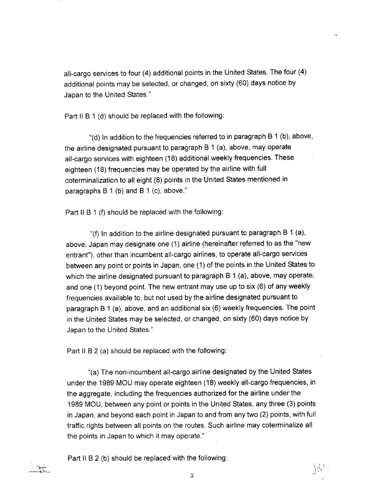all-cargo services to four (4) additional points in the United States . The four (4) additional points may be selected, or changed, on sixty (60) days notice by Japan to the United States ."

Part II B 1 (d) should be replaced with the following:

 

"(d) In addition to the frequencies referred to in paragraph B 1 (b), above, the airline designated pursuant to paragraph B 1 (a), above, may operate all-cargo services with eighteen (18) additional weekly frequencies . These eighteen (18) frequencies may be operated by the airline with full coterminalization to all eight (8) points in the United States mentioned in paragraphs  $B_1$  (b) and  $B_1$  (c), above."

Part II B 1 (f) should be replaced with the following:

"(f) In addition to the airline designated pursuant to paragraph  $B_1(a)$ , above, Japan may designate one (1) airline (hereinafter referred to as the "new entrant"), other than incumbent all-cargo airlines, to operate all-cargo services between any point or points in Japan, one (1) of the points in the United States to which the airline designated pursuant to paragraph B 1 (a), above, may operate, and one  $(1)$  beyond point. The new entrant may use up to six  $(6)$  of any weekly frequencies available to, but not used by the airline designated pursuant to paragraph B 1 (a), above, and an additional six (6) weekly frequencies . The point in the United States may be selected, or changed, on sixty (60) days notice by Japan to the United States ."

Part 11 B 2 (a) should be replaced with the following:

"(a) The non-incumbent all-cargo airline designated by the United States under the 1989 MOU may operate eighteen (18) weekly all-cargo frequencies, in the aggregate, including the frequencies authorized for the airline under the 1989 MOU, between any point or points in the United States, any three (3) points in Japan, and beyond each point in Japan to and from any two (2) points, with full traffic rights between all points on the routes . Such airline may coterminalize all the points in Japan to which it may operate ."

Part 11 B 2 (b) should be replaced with the following: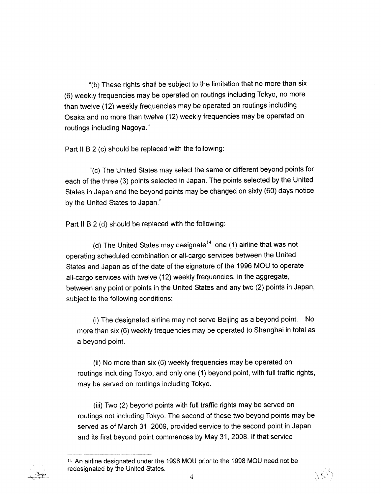"(b) These rights shall be subject to the limitation that no more than six (6) weekly frequencies may be operated on routings including Tokyo, no more than twelve (12) weekly frequencies may be operated on routings including Osaka and no more than twelve (12) weekly frequencies may be operated on routings including Nagoya,"

Part II B 2 (c) should be replaced with the following:

"(c) The United States may select the same or different beyond points for each of the three (3) points selected in Japan . The points selected by the United States in Japan and the beyond points may be changed on sixty (60) days notice by the United States to Japan ."

Part II B 2 (d) should be replaced with the following:

"(d) The United States may designate 14 one (1) airline that was not operating scheduled combination or all-cargo services between the United States and Japan as of the date of the signature of the 1996 MOU to operate all-cargo services with twelve (12) weekly frequencies, in the aggregate, between any point or points in the United States and any two (2) points in Japan, subject to the following conditions:

 $(i)$  The designated airline may not serve Beijing as a beyond point. No more than six (6) weekly frequencies may be operated to Shanghai in total as a beyond point,

(ii) No more than six (6) weekly frequencies may be operated on routings including Tokyo, and only one (1) beyond point, with full traffic rights, may be served on routings including Tokyo.

(iii) Two (2) beyond points with full traffic rights may be served on routings not including Tokyo . The second of these two beyond points may be served as of March 31, 2009, provided service to the second point in Japan and its first beyond point commences by May 31, 2008. If that service

 $\boldsymbol{4}$ 

<sup>14</sup> An airline designated under the 1996 MOU prior to the 1998 MOU need not be redesignated by the United States.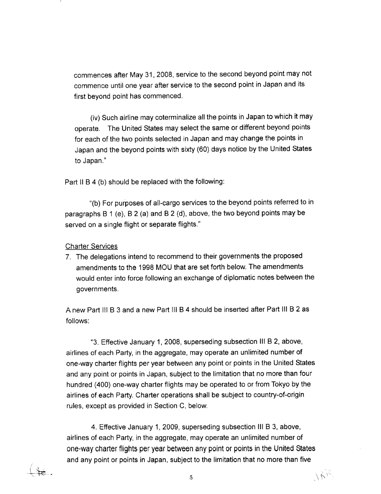commences after May 31, 2008, service to the second beyond point may not commence until one year after service to the second point in Japan and its first beyond point has commenced .

(iv) Such airline may coterminalize all the points in Japan to which it may operate. The United States may select the same or different beyond points for each of the two points selected in Japan and may change the points in Japan and the beyond points with sixty (60) days notice by the United States to Japan."

Part II B 4 (b) should be replaced with the following:

"(b) For purposes of all-cargo services to the beyond points referred to in paragraphs  $B$  1 (e),  $B$  2 (a) and  $B$  2 (d), above, the two beyond points may be served on a single flight or separate flights."

#### **Charter Services**

 

7 . The delegations intend to recommend to their governments the proposed amendments to the 1998 MOU that are set forth below. The amendments would enter into force following an exchange of diplomatic notes between the governments.

A new Part III B 3 and a new Part III B 4 should be inserted after Part III B 2 as follows:

° 3 . Effective January 1, 2008, ssuperseding subsection III B 2, above, airlines of each Party, in the aggregate, may operate an unlimited number of one-way charter flights per year between any point or points in the United States and any point or points in Japan, subject to the limitation that no more than four hundred (400) one-way charter flights may be operated to or from Tokyo by the airlines of each Party. Charter operations shall be subject to country-of-origin rules, except as provided in Section C, below,

4 . Effective January 1, 2009, superseding subsection III B 3, above, airlines of each Party, in the aggregate, may operate an unlimited number of one-way charter flights per year between any point or points in the United States and any point or points in Japan, subject to the limitation that no more than five

JRF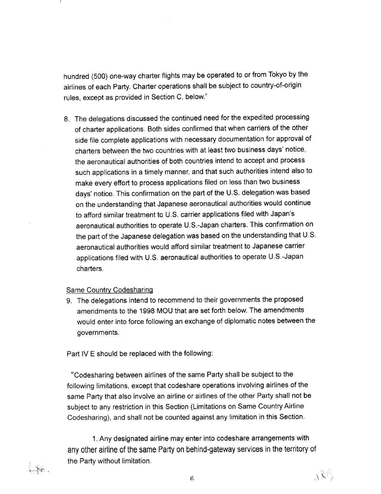hundred (500) one-way charter flights may be operated to or from Tokyo by the airlines of each Party, Charter operations shall be subject to country-of-origin rules, except as provided in Section C, below."

8. The delegations discussed the continued need for the expedited processing of charter applications . Both sides confirmed that when carriers of the other side file complete applications with necessary documentation for approval of charters between the two countries with at least two business days' notice, the aeronautical authorities of both countries intend to accept and process such applications in a timely manner, and that such authorities intend also to make every effort to process applications filed on less than two business days' notice. This confirmation on the part of the U.S. delegation was based on the understanding that Japanese aeronautical authorities would continue to afford similar treatment to U .S. carrier applications filed with Japan's aeronautical authorities to operate U .S .-Japan charters . This confirmation on the part of the Japanese delegation was based on the understanding that U .S aeronautical authorities would afford similar treatment to Japanese carrier applications filed with U.S. aeronautical authorities to operate U.S.-Japan charters .

#### Same Country Codesharing

 

 $\rightarrow$ 

9. The delegations intend to recommend to their governments the proposed amendments to the 1998 MOU that are set forth below. The amendments would enter into force following an exchange of diplomatic notes between the governments.

Part IV E should be replaced with the following:

"Codesharing between airlines of the same Party shall be subject to the following limitations, except that codeshare operations involving airlines of the same Party that also involve an airline or airlines of the other Party shall not be subject to any restriction in this Section (Limitations on Same Country Airline Codesharing), and shall not be counted against any limitation in this Section .

1. Any designated airline may enter into codeshare arrangements with any other airline of the same Party on behind-gateway services in the territory of the Party without limitation.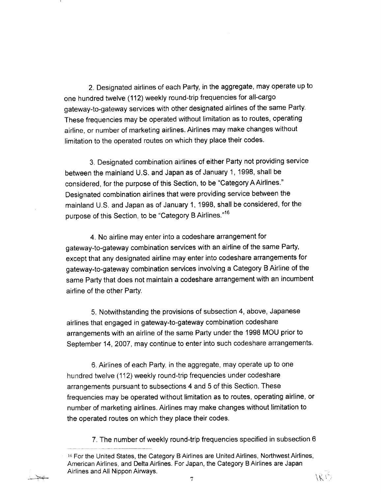2 . Designated airlines of each Party, in the aggregate, may operate up to one hundred twelve (112) weekly round-trip frequencies for all-cargo gateway-to-gateway services with other designated airlines of the same Party . These frequencies may be operated without limitation as to routes, operating airline, or number of marketing airlines . Airlines may make changes without limitation to the operated routes on which they place their codes.

 

ككتباب

3. Designated combination airlines of either Party not providing service between the mainland U .S . and Japan as of January 1, 1998, shall be considered, for the purpose of this Section, to be "Category A Airlines ." Designated combination airlines that were providing service between the mainland U .S . and Japan as of January 1, 1998, shall be considered, for the purpose of this Section, to be "Category B Airlines."16

4. No airline may enter into a codeshare arrangement for gateway-to-gateway combination services with an airline of the same Party, except that any designated airline may enter into codeshare arrangements for gateway-to-gateway combination services involving a Category B Airline of the same Party that does not maintain a codeshare arrangement with an incumbent airline of the other Party.

5, Notwithstanding the provisions of subsection 4, above, Japanese airlines that engaged in gateway-to-gateway combination codeshare arrangements with an airline of the same Party under the 1998 MOU prior to September 14, 2007, may continue to enter into such codeshare arrangements.

6. Airlines of each Party, in aggregate, may operate up to one hundred twelve (112) weekly round-trip frequencies under codeshare arrangements pursuant to subsections 4 and 5 of this Section. These frequencies may be operated without limitation as to routes, operating airline, or number of marketing airlines . Airlines may make changes without limitation to the operated routes on which they place their codes .

7. The number of weekly round-trip frequencies specified in subsection 6

 $^{16}$  For the United States, the Category B Airlines are United Airlines, Northwest Airlines, American Airlines, and Delta Airlines . For Japan, the Category B Airlines are Japan Airlines and All Nippon Airways.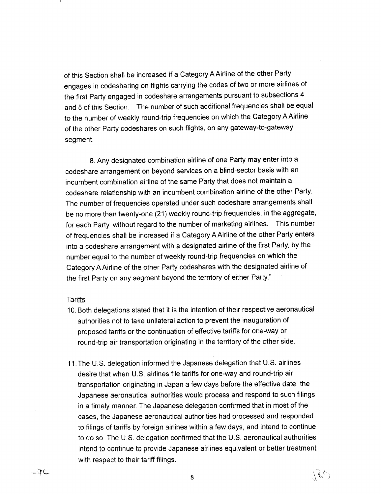of this Section shall be increased if a Category A Airline of the other Party engages in codesharing on flights carrying the codes of two or more airlines of the first Party engaged in codeshare arrangements pursuant to subsections 4 and 5 of this Section. The number of such additional frequencies shall be equal to the number of weekly round-trip frequencies on which the Category A Airline of the other Party codeshares on such flights, on any gateway-to-gateway segment.

8. Any designated combination airline of one Party may enter into a codeshare arrangement on beyond services on a blind-sector basis with an incumbent combination airline of the same Party that does not maintain a codeshare relationship with an incumbent combination airline of the other Party . The number of frequencies operated under such codeshare arrangements shall be no more than twenty-one (21) weekly round-trip frequencies, in the aggregate, for each Party, without regard to the number of marketing airlines. This number of frequencies shall be increased if a Category A Airline of the other Party enters into a codeshare arrangement with a designated airline of the first Party, by the number equal to the number of weekly round-trip frequencies on which the Category AAirline of the other Party codeshares with the designated airline of the first Party on any segment beyond the territory of either Party."

#### Tariffs

 $\pm$ 

- 10. Both delegations stated that it is the intention of their respective aeronautical authorities not take unilateral action to prevent the inauguration of proposed tariffs or the continuation of effective tariffs for one-way or round-trip air transportation originating in the territory of the other side .
- 11. The U.S. delegation informed the Japanese delegation that U.S. airlines desire that when U.S. airlines file tariffs for one-way and round-trip air transportation originating in Japan a few days before the effective date, the Japanese aeronautical authorities would process and respond to such filings in a timely manner. The Japanese delegation confirmed that in most of the cases, the Japanese aeronautical authorities had processed and responded to filings of tariffs by foreign airlines within a few days, and intend to continue to do so. The U.S. delegation confirmed that the U.S. aeronautical authorities intend to continue to provide Japanese airlines equivalent or better treatment with respect to their tariff filings.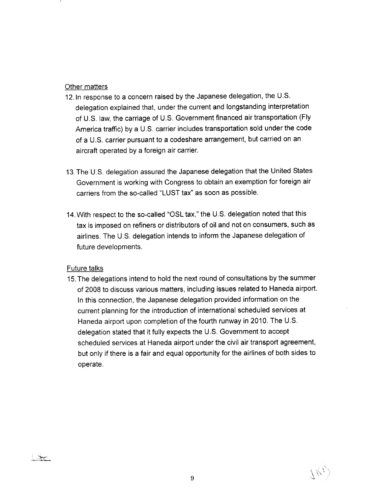#### Other matters

 

- 12. In response to a concern raised by the Japanese delegation, the U.S. delegation explained thak, under the current and longstanding interpretation of U.S. law, the carriage of U.S. Government imanced air transportation (Fig.  $\frac{1}{2}$ America traffic) by a U.S. carrier includes transportation sold under the code of a U.S. carrier pursuant to a codeshare arrangement, but carried on an aircraft operated by a foreign air carrier.
- 13. The U.S. delegation assured the Japanese delegation that the United States Government is working with Congress to obtain an exemption for foreign air carriers from the so-called "LUST tax" as soon as possible.
- 14 .VUth respect to the so-called "OSL tax," the U .S. delegation noted that this tax is imposed on refiners or distributors of oil and not on consumers, such as airlines. The U.S. delegation intends to inform the Japanese delegation of future developments.

#### Future talks

 $\pm$ 

15 . The delegations intend to hold the next round of consultations by the summer of 2008 to discuss various matters, including issues related to Haneda airport. In this connection, the Japanese delegation provided information on the current planning for the introduction of international scheduled services at Haneda airport upon completion of the fourth runway in 2010. The U.S. delegation stated that it fully expects the U .S . Government to accept scheduled services at Haneda airport under the civil air transport agreement, but only if there is a fair and equal opportunity for the airlines of both sides to operate .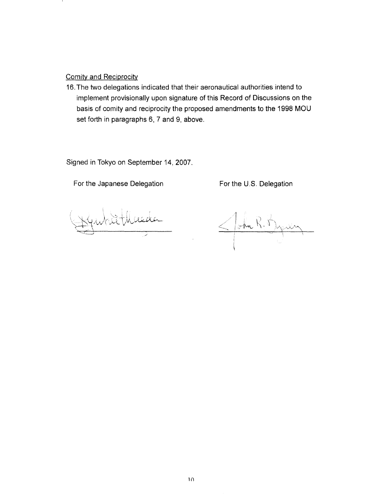Comity and Reciprocity

 

1O .The two delegations indicated that their aeronautical authorities intend to implement provisionally upon signature of this Record of Discussions on the basis of comity and reciprocity the proposed amendments to the 1998 MOU set forth in paragraphs 6, 7 and 9, above.

Signed in Tokyo on September 14, 2007.

For the Japanese Delegation

For the U.S. Delegation

 $\leq$  ohn  $\aleph, \aleph$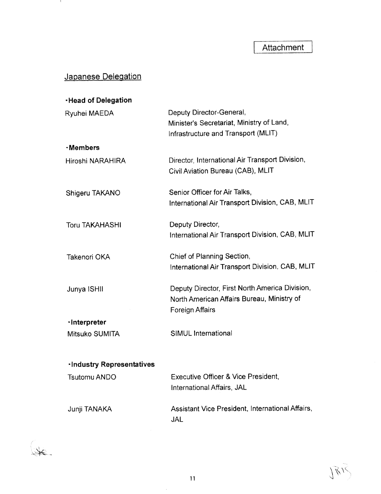## Japanese Delegation

 

 $\left(\frac{1}{2}x\right)$ 

| <b>Head of Delegation</b>        |                                                                                                                        |
|----------------------------------|------------------------------------------------------------------------------------------------------------------------|
| <b>Ryuhei MAEDA</b>              | Deputy Director-General,<br>Minister's Secretariat, Ministry of Land,                                                  |
|                                  | Infrastructure and Transport (MLIT)                                                                                    |
| <b>·Members</b>                  |                                                                                                                        |
| Hiroshi NARAHIRA                 | Director, International Air Transport Division,<br>Civil Aviation Bureau (CAB), MLIT                                   |
| Shigeru TAKANO                   | Senior Officer for Air Talks,<br>International Air Transport Division, CAB, MLIT                                       |
| <b>Toru TAKAHASHI</b>            | Deputy Director,<br>International Air Transport Division, CAB, MLIT                                                    |
| Takenori OKA                     | Chief of Planning Section,<br>International Air Transport Division, CAB, MLIT                                          |
| Junya ISHII                      | Deputy Director, First North America Division,<br>North American Affairs Bureau, Ministry of<br><b>Foreign Affairs</b> |
| -Interpreter                     |                                                                                                                        |
| Mitsuko SUMITA                   | SIMUL International                                                                                                    |
| <b>-Industry Representatives</b> |                                                                                                                        |
| <b>Tsutomu ANDO</b>              | Executive Officer & Vice President,<br>International Affairs, JAL                                                      |
| Junji TANAKA                     | Assistant Vice President, International Affairs,                                                                       |

JAL

 $\hat{\boldsymbol{\beta}}$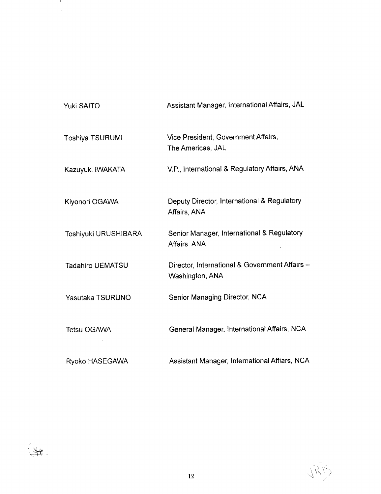| Yuki SAITO              | Assistant Manager, International Affairs, JAL                     |
|-------------------------|-------------------------------------------------------------------|
| <b>Toshiya TSURUMI</b>  | Vice President, Government Affairs,<br>The Americas, JAL          |
| Kazuyuki IWAKATA        | V.P., International & Regulatory Affairs, ANA                     |
| Kiyonori OGAWA          | Deputy Director, International & Regulatory<br>Affairs, ANA       |
| Toshiyuki URUSHIBARA    | Senior Manager, International & Regulatory<br>Affairs, ANA        |
| <b>Tadahiro UEMATSU</b> | Director, International & Government Affairs -<br>Washington, ANA |
| Yasutaka TSURUNO        | Senior Managing Director, NCA                                     |
| <b>Tetsu OGAWA</b>      | General Manager, International Affairs, NCA                       |
| Ryoko HASEGAWA          | Assistant Manager, International Affiars, NCA                     |

 

 $\frac{1}{2}$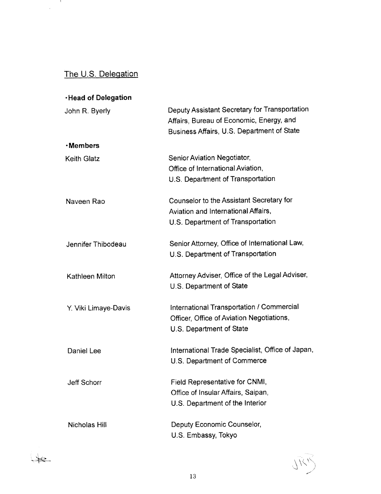# The U.S. Delegation

 $\label{eq:2.1} \frac{1}{\sqrt{2\pi}}\int_{0}^{\pi}\frac{1}{\sqrt{2\pi}}\,d\mu\,d\mu\,.$ 

 $4e$ 

| ∙Head of Delegation  |                                                                                                                                         |
|----------------------|-----------------------------------------------------------------------------------------------------------------------------------------|
| John R. Byerly       | Deputy Assistant Secretary for Transportation<br>Affairs, Bureau of Economic, Energy, and<br>Business Affairs, U.S. Department of State |
| <b>·Members</b>      |                                                                                                                                         |
| <b>Keith Glatz</b>   | Senior Aviation Negotiator,<br>Office of International Aviation,<br>U.S. Department of Transportation                                   |
| Naveen Rao           | Counselor to the Assistant Secretary for<br>Aviation and International Affairs,<br>U.S. Department of Transportation                    |
| Jennifer Thibodeau   | Senior Attorney, Office of International Law,<br>U.S. Department of Transportation                                                      |
| Kathleen Milton      | Attorney Adviser, Office of the Legal Adviser,<br>U.S. Department of State                                                              |
| Y. Viki Limaye-Davis | International Transportation / Commercial<br>Officer, Office of Aviation Negotiations,<br>U.S. Department of State                      |
| Daniel Lee           | International Trade Specialist, Office of Japan,<br>U.S. Department of Commerce                                                         |
| <b>Jeff Schorr</b>   | Field Representative for CNMI,<br>Office of Insular Affairs, Saipan,<br>U.S. Department of the Interior                                 |
| Nicholas Hill        | Deputy Economic Counselor,<br>U.S. Embassy, Tokyo                                                                                       |

JRR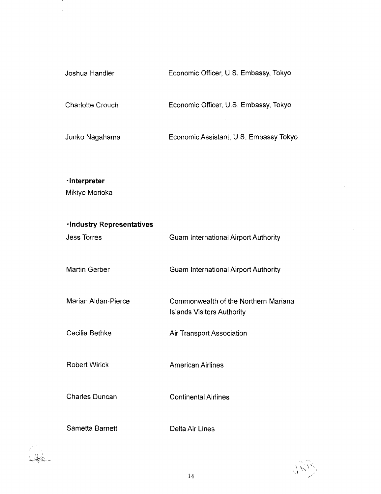| Joshua Handler          | Economic Officer, U.S. Embassy, Tokyo  |
|-------------------------|----------------------------------------|
| <b>Charlotte Crouch</b> | Economic Officer, U.S. Embassy, Tokyo  |
| Junko Nagahama          | Economic Assistant, U.S. Embassy Tokyo |

Economic Assistant, U.S. Embassy Tokyo

-interpreter Mikiyo Morioka

 

 

| <b>-Industry Representatives</b><br><b>Jess Torres</b> | <b>Guam International Airport Authority</b>                               |
|--------------------------------------------------------|---------------------------------------------------------------------------|
| <b>Martin Gerber</b>                                   | <b>Guam International Airport Authority</b>                               |
| <b>Marian Aldan-Pierce</b>                             | Commonwealth of the Northern Mariana<br><b>Islands Visitors Authority</b> |
| Cecilia Bethke                                         | <b>Air Transport Association</b>                                          |
| <b>Robert Wirick</b>                                   | <b>American Airlines</b>                                                  |
| <b>Charles Duncan</b>                                  | <b>Continental Airlines</b>                                               |
|                                                        |                                                                           |

7412

Sametta Barnett Delta Air Lines